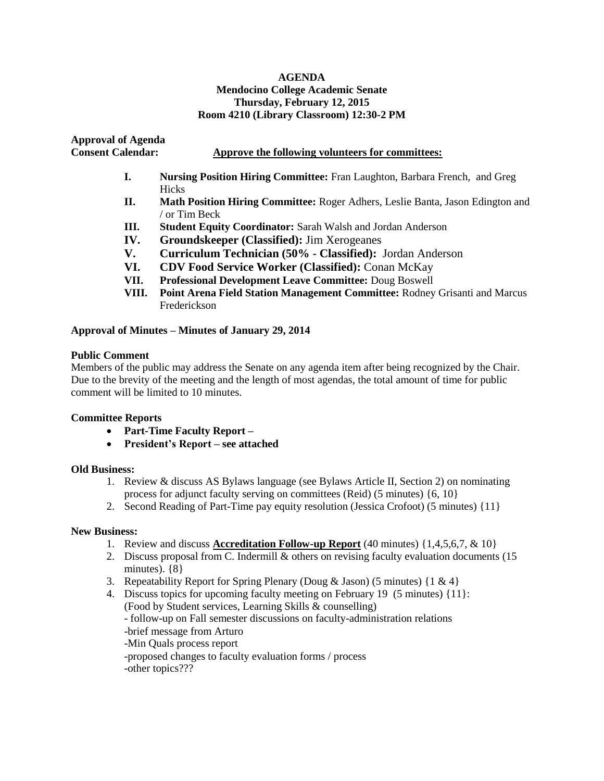#### **AGENDA Mendocino College Academic Senate Thursday, February 12, 2015 Room 4210 (Library Classroom) 12:30-2 PM**

**Approval of Agenda** 

### **Consent Calendar: Approve the following volunteers for committees:**

- **I. Nursing Position Hiring Committee:** Fran Laughton, Barbara French, and Greg Hicks
- **II. Math Position Hiring Committee:** Roger Adhers, Leslie Banta, Jason Edington and / or Tim Beck
- **III. Student Equity Coordinator:** Sarah Walsh and Jordan Anderson
- **IV. Groundskeeper (Classified):** Jim Xerogeanes
- **V. Curriculum Technician (50% - Classified):** Jordan Anderson
- **VI. CDV Food Service Worker (Classified):** Conan McKay
- **VII. Professional Development Leave Committee:** Doug Boswell
- **VIII. Point Arena Field Station Management Committee:** Rodney Grisanti and Marcus Frederickson

# **Approval of Minutes – Minutes of January 29, 2014**

#### **Public Comment**

Members of the public may address the Senate on any agenda item after being recognized by the Chair. Due to the brevity of the meeting and the length of most agendas, the total amount of time for public comment will be limited to 10 minutes.

# **Committee Reports**

- **Part-Time Faculty Report –**
- **President's Report – see attached**

# **Old Business:**

- 1. Review & discuss AS Bylaws language (see Bylaws Article II, Section 2) on nominating process for adjunct faculty serving on committees (Reid) (5 minutes) {6, 10}
- 2. Second Reading of Part-Time pay equity resolution (Jessica Crofoot) (5 minutes) {11}

#### **New Business:**

- 1. Review and discuss **Accreditation Follow-up Report** (40 minutes) {1,4,5,6,7, & 10}
- 2. Discuss proposal from C. Indermill & others on revising faculty evaluation documents (15 minutes). {8}
- 3. Repeatability Report for Spring Plenary (Doug & Jason) (5 minutes)  $\{1 \& 4\}$
- 4. Discuss topics for upcoming faculty meeting on February 19 (5 minutes) {11}: (Food by Student services, Learning Skills & counselling) - follow-up on Fall semester discussions on faculty-administration relations -brief message from Arturo -Min Quals process report -proposed changes to faculty evaluation forms / process -other topics???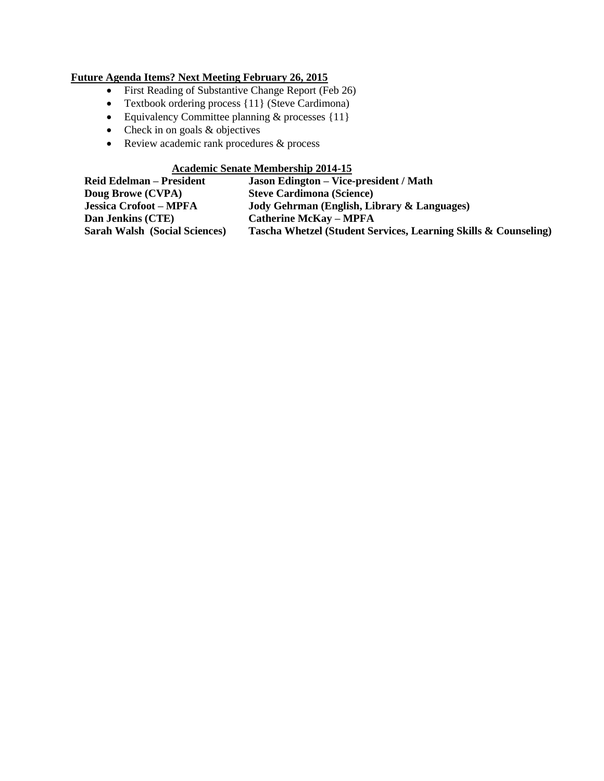# **Future Agenda Items? Next Meeting February 26, 2015**

- First Reading of Substantive Change Report (Feb 26)
- Textbook ordering process {11} (Steve Cardimona)
- Equivalency Committee planning & processes {11}
- $\bullet$  Check in on goals  $\&$  objectives
- Review academic rank procedures & process

# **Academic Senate Membership 2014-15**

| <b>Reid Edelman – President</b>      | <b>Jason Edington – Vice-president / Math</b>                   |
|--------------------------------------|-----------------------------------------------------------------|
| Doug Browe (CVPA)                    | <b>Steve Cardimona (Science)</b>                                |
| <b>Jessica Crofoot - MPFA</b>        | Jody Gehrman (English, Library & Languages)                     |
| Dan Jenkins (CTE)                    | <b>Catherine McKay - MPFA</b>                                   |
| <b>Sarah Walsh (Social Sciences)</b> | Tascha Whetzel (Student Services, Learning Skills & Counseling) |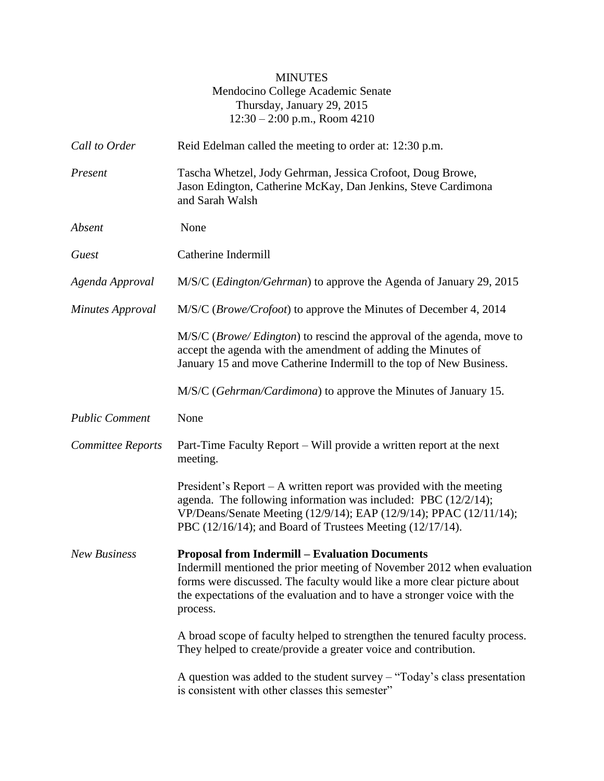# MINUTES Mendocino College Academic Senate Thursday, January 29, 2015 12:30 – 2:00 p.m., Room 4210

| Call to Order         | Reid Edelman called the meeting to order at: 12:30 p.m.                                                                                                                                                                                                                                            |
|-----------------------|----------------------------------------------------------------------------------------------------------------------------------------------------------------------------------------------------------------------------------------------------------------------------------------------------|
| Present               | Tascha Whetzel, Jody Gehrman, Jessica Crofoot, Doug Browe,<br>Jason Edington, Catherine McKay, Dan Jenkins, Steve Cardimona<br>and Sarah Walsh                                                                                                                                                     |
| Absent                | None                                                                                                                                                                                                                                                                                               |
| Guest                 | Catherine Indermill                                                                                                                                                                                                                                                                                |
| Agenda Approval       | M/S/C (Edington/Gehrman) to approve the Agenda of January 29, 2015                                                                                                                                                                                                                                 |
| Minutes Approval      | M/S/C ( <i>Browe/Crofoot</i> ) to approve the Minutes of December 4, 2014                                                                                                                                                                                                                          |
|                       | M/S/C ( <i>Browe/ Edington</i> ) to rescind the approval of the agenda, move to<br>accept the agenda with the amendment of adding the Minutes of<br>January 15 and move Catherine Indermill to the top of New Business.                                                                            |
|                       | M/S/C (Gehrman/Cardimona) to approve the Minutes of January 15.                                                                                                                                                                                                                                    |
| <b>Public Comment</b> | None                                                                                                                                                                                                                                                                                               |
| Committee Reports     | Part-Time Faculty Report – Will provide a written report at the next<br>meeting.                                                                                                                                                                                                                   |
|                       | President's Report - A written report was provided with the meeting<br>agenda. The following information was included: PBC (12/2/14);<br>VP/Deans/Senate Meeting (12/9/14); EAP (12/9/14); PPAC (12/11/14);<br>PBC (12/16/14); and Board of Trustees Meeting (12/17/14).                           |
| <b>New Business</b>   | <b>Proposal from Indermill – Evaluation Documents</b><br>Indermill mentioned the prior meeting of November 2012 when evaluation<br>forms were discussed. The faculty would like a more clear picture about<br>the expectations of the evaluation and to have a stronger voice with the<br>process. |
|                       | A broad scope of faculty helped to strengthen the tenured faculty process.<br>They helped to create/provide a greater voice and contribution.                                                                                                                                                      |
|                       | A question was added to the student survey $-$ "Today's class presentation<br>is consistent with other classes this semester"                                                                                                                                                                      |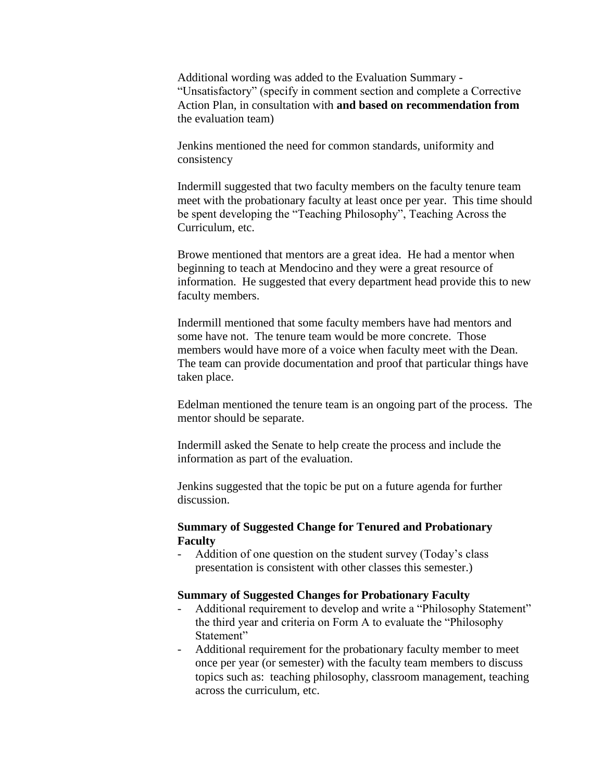Additional wording was added to the Evaluation Summary - "Unsatisfactory" (specify in comment section and complete a Corrective Action Plan, in consultation with **and based on recommendation from** the evaluation team)

Jenkins mentioned the need for common standards, uniformity and consistency

Indermill suggested that two faculty members on the faculty tenure team meet with the probationary faculty at least once per year. This time should be spent developing the "Teaching Philosophy", Teaching Across the Curriculum, etc.

Browe mentioned that mentors are a great idea. He had a mentor when beginning to teach at Mendocino and they were a great resource of information. He suggested that every department head provide this to new faculty members.

Indermill mentioned that some faculty members have had mentors and some have not. The tenure team would be more concrete. Those members would have more of a voice when faculty meet with the Dean. The team can provide documentation and proof that particular things have taken place.

Edelman mentioned the tenure team is an ongoing part of the process. The mentor should be separate.

Indermill asked the Senate to help create the process and include the information as part of the evaluation.

Jenkins suggested that the topic be put on a future agenda for further discussion.

# **Summary of Suggested Change for Tenured and Probationary Faculty**

- Addition of one question on the student survey (Today's class presentation is consistent with other classes this semester.)

#### **Summary of Suggested Changes for Probationary Faculty**

- Additional requirement to develop and write a "Philosophy Statement" the third year and criteria on Form A to evaluate the "Philosophy Statement"
- Additional requirement for the probationary faculty member to meet once per year (or semester) with the faculty team members to discuss topics such as: teaching philosophy, classroom management, teaching across the curriculum, etc.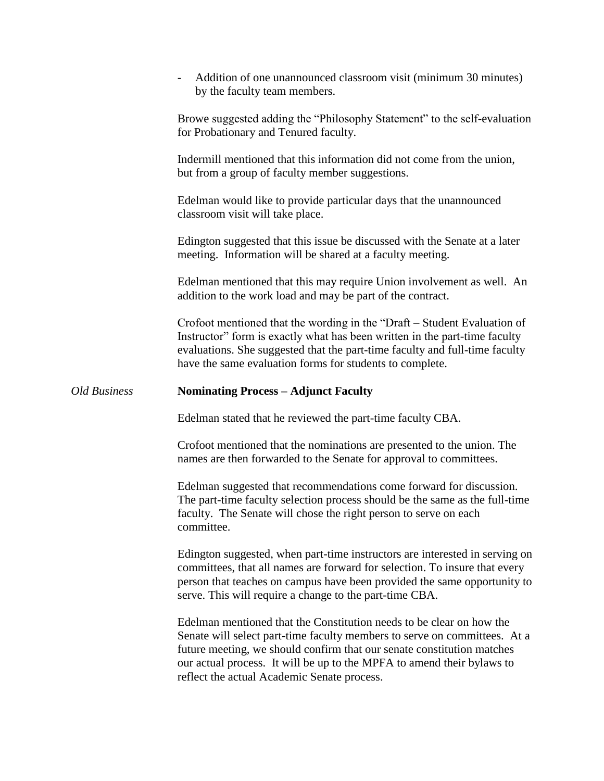|                     | Addition of one unannounced classroom visit (minimum 30 minutes)<br>by the faculty team members.                                                                                                                                                                                                  |
|---------------------|---------------------------------------------------------------------------------------------------------------------------------------------------------------------------------------------------------------------------------------------------------------------------------------------------|
|                     | Browe suggested adding the "Philosophy Statement" to the self-evaluation<br>for Probationary and Tenured faculty.                                                                                                                                                                                 |
|                     | Indermill mentioned that this information did not come from the union,<br>but from a group of faculty member suggestions.                                                                                                                                                                         |
|                     | Edelman would like to provide particular days that the unannounced<br>classroom visit will take place.                                                                                                                                                                                            |
|                     | Edington suggested that this issue be discussed with the Senate at a later<br>meeting. Information will be shared at a faculty meeting.                                                                                                                                                           |
|                     | Edelman mentioned that this may require Union involvement as well. An<br>addition to the work load and may be part of the contract.                                                                                                                                                               |
|                     | Crofoot mentioned that the wording in the "Draft – Student Evaluation of<br>Instructor" form is exactly what has been written in the part-time faculty<br>evaluations. She suggested that the part-time faculty and full-time faculty<br>have the same evaluation forms for students to complete. |
| <b>Old Business</b> | <b>Nominating Process - Adjunct Faculty</b>                                                                                                                                                                                                                                                       |
|                     |                                                                                                                                                                                                                                                                                                   |
|                     | Edelman stated that he reviewed the part-time faculty CBA.                                                                                                                                                                                                                                        |
|                     | Crofoot mentioned that the nominations are presented to the union. The<br>names are then forwarded to the Senate for approval to committees.                                                                                                                                                      |
|                     | Edelman suggested that recommendations come forward for discussion.<br>The part-time faculty selection process should be the same as the full-time<br>faculty. The Senate will chose the right person to serve on each<br>committee.                                                              |
|                     | Edington suggested, when part-time instructors are interested in serving on<br>committees, that all names are forward for selection. To insure that every<br>person that teaches on campus have been provided the same opportunity to<br>serve. This will require a change to the part-time CBA.  |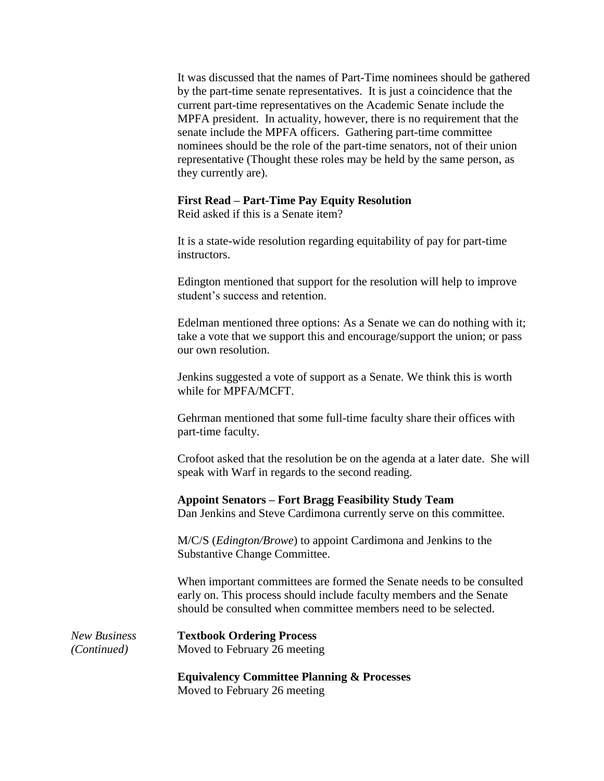It was discussed that the names of Part-Time nominees should be gathered by the part-time senate representatives. It is just a coincidence that the current part-time representatives on the Academic Senate include the MPFA president. In actuality, however, there is no requirement that the senate include the MPFA officers. Gathering part-time committee nominees should be the role of the part-time senators, not of their union representative (Thought these roles may be held by the same person, as they currently are).

#### **First Read – Part-Time Pay Equity Resolution**

Reid asked if this is a Senate item?

It is a state-wide resolution regarding equitability of pay for part-time instructors.

Edington mentioned that support for the resolution will help to improve student's success and retention.

Edelman mentioned three options: As a Senate we can do nothing with it; take a vote that we support this and encourage/support the union; or pass our own resolution.

Jenkins suggested a vote of support as a Senate. We think this is worth while for MPFA/MCFT.

Gehrman mentioned that some full-time faculty share their offices with part-time faculty.

Crofoot asked that the resolution be on the agenda at a later date. She will speak with Warf in regards to the second reading.

#### **Appoint Senators – Fort Bragg Feasibility Study Team**

Dan Jenkins and Steve Cardimona currently serve on this committee.

M/C/S (*Edington/Browe*) to appoint Cardimona and Jenkins to the Substantive Change Committee.

When important committees are formed the Senate needs to be consulted early on. This process should include faculty members and the Senate should be consulted when committee members need to be selected.

*New Business* **Textbook Ordering Process** *(Continued)* Moved to February 26 meeting

> **Equivalency Committee Planning & Processes** Moved to February 26 meeting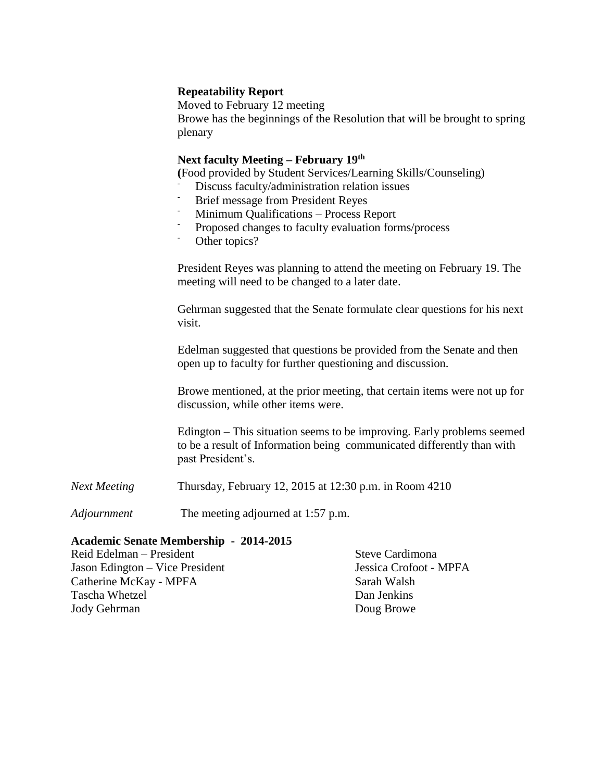# **Repeatability Report**

Moved to February 12 meeting Browe has the beginnings of the Resolution that will be brought to spring plenary

### **Next faculty Meeting – February 19th**

**(**Food provided by Student Services/Learning Skills/Counseling)

- Discuss faculty/administration relation issues
- Brief message from President Reyes
- Minimum Qualifications Process Report
- Proposed changes to faculty evaluation forms/process
- Other topics?

President Reyes was planning to attend the meeting on February 19. The meeting will need to be changed to a later date.

Gehrman suggested that the Senate formulate clear questions for his next visit.

Edelman suggested that questions be provided from the Senate and then open up to faculty for further questioning and discussion.

Browe mentioned, at the prior meeting, that certain items were not up for discussion, while other items were.

Edington – This situation seems to be improving. Early problems seemed to be a result of Information being communicated differently than with past President's.

*Next Meeting* Thursday, February 12, 2015 at 12:30 p.m. in Room 4210

*Adjournment* The meeting adjourned at 1:57 p.m.

#### **Academic Senate Membership - 2014-2015**

| Reid Edelman – President        | Steve Cardimona        |
|---------------------------------|------------------------|
| Jason Edington – Vice President | Jessica Crofoot - MPFA |
| Catherine McKay - MPFA          | Sarah Walsh            |
| <b>Tascha Whetzel</b>           | Dan Jenkins            |
| Jody Gehrman                    | Doug Browe             |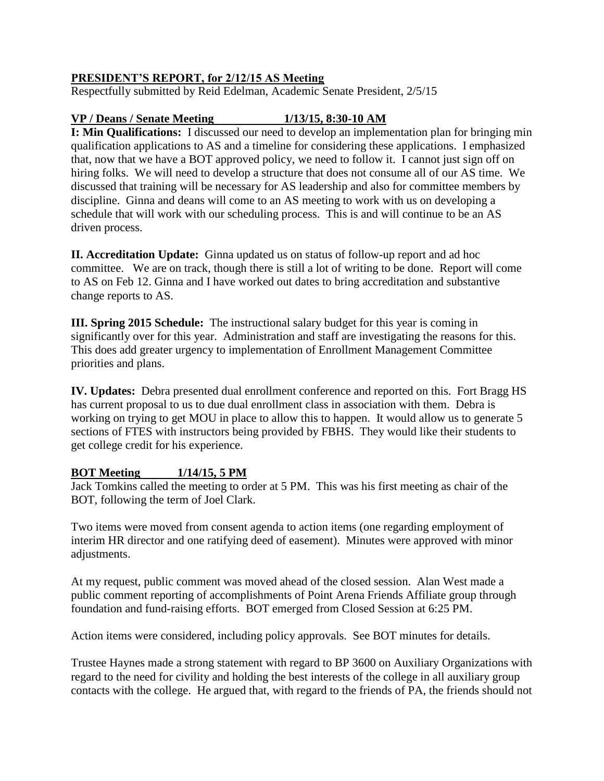# **PRESIDENT'S REPORT, for 2/12/15 AS Meeting**

Respectfully submitted by Reid Edelman, Academic Senate President, 2/5/15

# **VP / Deans / Senate Meeting 1/13/15, 8:30-10 AM**

**I: Min Qualifications:** I discussed our need to develop an implementation plan for bringing min qualification applications to AS and a timeline for considering these applications. I emphasized that, now that we have a BOT approved policy, we need to follow it. I cannot just sign off on hiring folks. We will need to develop a structure that does not consume all of our AS time. We discussed that training will be necessary for AS leadership and also for committee members by discipline. Ginna and deans will come to an AS meeting to work with us on developing a schedule that will work with our scheduling process. This is and will continue to be an AS driven process.

**II. Accreditation Update:** Ginna updated us on status of follow-up report and ad hoc committee. We are on track, though there is still a lot of writing to be done. Report will come to AS on Feb 12. Ginna and I have worked out dates to bring accreditation and substantive change reports to AS.

**III. Spring 2015 Schedule:** The instructional salary budget for this year is coming in significantly over for this year. Administration and staff are investigating the reasons for this. This does add greater urgency to implementation of Enrollment Management Committee priorities and plans.

**IV. Updates:** Debra presented dual enrollment conference and reported on this. Fort Bragg HS has current proposal to us to due dual enrollment class in association with them. Debra is working on trying to get MOU in place to allow this to happen. It would allow us to generate 5 sections of FTES with instructors being provided by FBHS. They would like their students to get college credit for his experience.

# **BOT Meeting 1/14/15, 5 PM**

Jack Tomkins called the meeting to order at 5 PM. This was his first meeting as chair of the BOT, following the term of Joel Clark.

Two items were moved from consent agenda to action items (one regarding employment of interim HR director and one ratifying deed of easement). Minutes were approved with minor adjustments.

At my request, public comment was moved ahead of the closed session. Alan West made a public comment reporting of accomplishments of Point Arena Friends Affiliate group through foundation and fund-raising efforts. BOT emerged from Closed Session at 6:25 PM.

Action items were considered, including policy approvals. See BOT minutes for details.

Trustee Haynes made a strong statement with regard to BP 3600 on Auxiliary Organizations with regard to the need for civility and holding the best interests of the college in all auxiliary group contacts with the college. He argued that, with regard to the friends of PA, the friends should not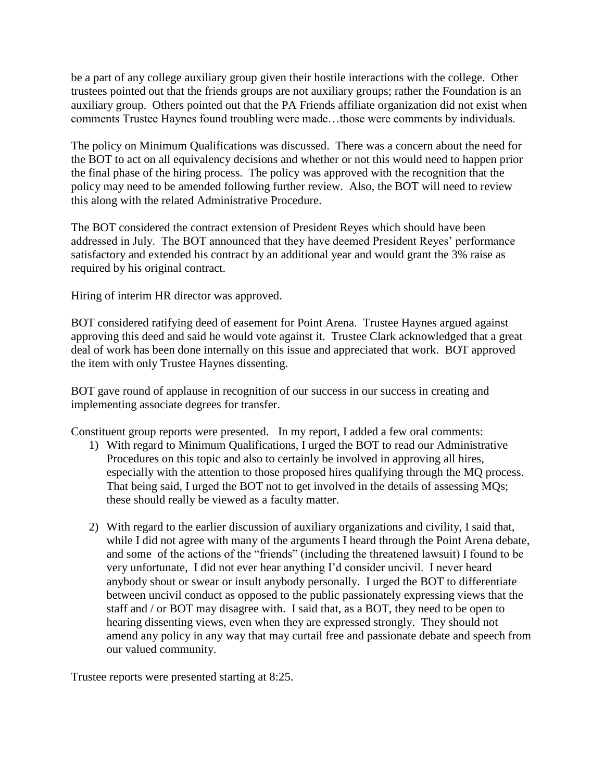be a part of any college auxiliary group given their hostile interactions with the college. Other trustees pointed out that the friends groups are not auxiliary groups; rather the Foundation is an auxiliary group. Others pointed out that the PA Friends affiliate organization did not exist when comments Trustee Haynes found troubling were made…those were comments by individuals.

The policy on Minimum Qualifications was discussed. There was a concern about the need for the BOT to act on all equivalency decisions and whether or not this would need to happen prior the final phase of the hiring process. The policy was approved with the recognition that the policy may need to be amended following further review. Also, the BOT will need to review this along with the related Administrative Procedure.

The BOT considered the contract extension of President Reyes which should have been addressed in July. The BOT announced that they have deemed President Reyes' performance satisfactory and extended his contract by an additional year and would grant the 3% raise as required by his original contract.

Hiring of interim HR director was approved.

BOT considered ratifying deed of easement for Point Arena. Trustee Haynes argued against approving this deed and said he would vote against it. Trustee Clark acknowledged that a great deal of work has been done internally on this issue and appreciated that work. BOT approved the item with only Trustee Haynes dissenting.

BOT gave round of applause in recognition of our success in our success in creating and implementing associate degrees for transfer.

Constituent group reports were presented. In my report, I added a few oral comments:

- 1) With regard to Minimum Qualifications, I urged the BOT to read our Administrative Procedures on this topic and also to certainly be involved in approving all hires, especially with the attention to those proposed hires qualifying through the MQ process. That being said, I urged the BOT not to get involved in the details of assessing MQs; these should really be viewed as a faculty matter.
- 2) With regard to the earlier discussion of auxiliary organizations and civility, I said that, while I did not agree with many of the arguments I heard through the Point Arena debate, and some of the actions of the "friends" (including the threatened lawsuit) I found to be very unfortunate, I did not ever hear anything I'd consider uncivil. I never heard anybody shout or swear or insult anybody personally. I urged the BOT to differentiate between uncivil conduct as opposed to the public passionately expressing views that the staff and / or BOT may disagree with. I said that, as a BOT, they need to be open to hearing dissenting views, even when they are expressed strongly. They should not amend any policy in any way that may curtail free and passionate debate and speech from our valued community.

Trustee reports were presented starting at 8:25.